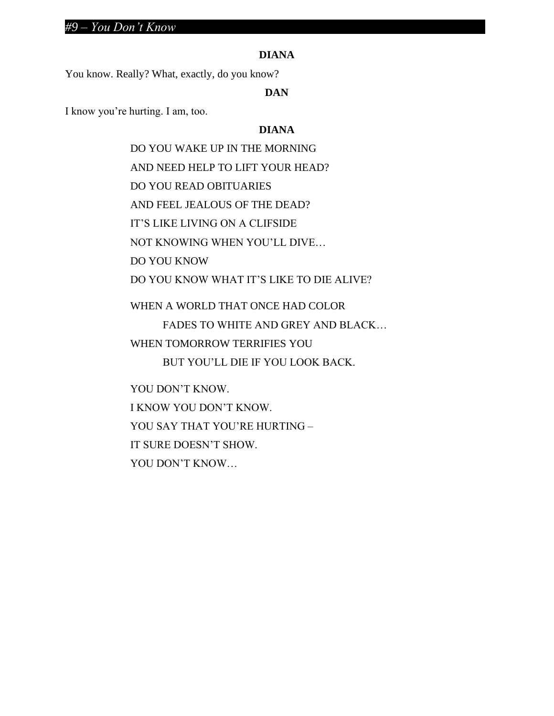## **DIANA**

You know. Really? What, exactly, do you know?

## **DAN**

I know you're hurting. I am, too.

## **DIANA**

DO YOU WAKE UP IN THE MORNING AND NEED HELP TO LIFT YOUR HEAD? DO YOU READ OBITUARIES AND FEEL JEALOUS OF THE DEAD? IT'S LIKE LIVING ON A CLIFSIDE NOT KNOWING WHEN YOU'LL DIVE… DO YOU KNOW DO YOU KNOW WHAT IT'S LIKE TO DIE ALIVE?

WHEN A WORLD THAT ONCE HAD COLOR

FADES TO WHITE AND GREY AND BLACK… WHEN TOMORROW TERRIFIES YOU

BUT YOU'LL DIE IF YOU LOOK BACK.

YOU DON'T KNOW. I KNOW YOU DON'T KNOW. YOU SAY THAT YOU'RE HURTING – IT SURE DOESN'T SHOW. YOU DON'T KNOW…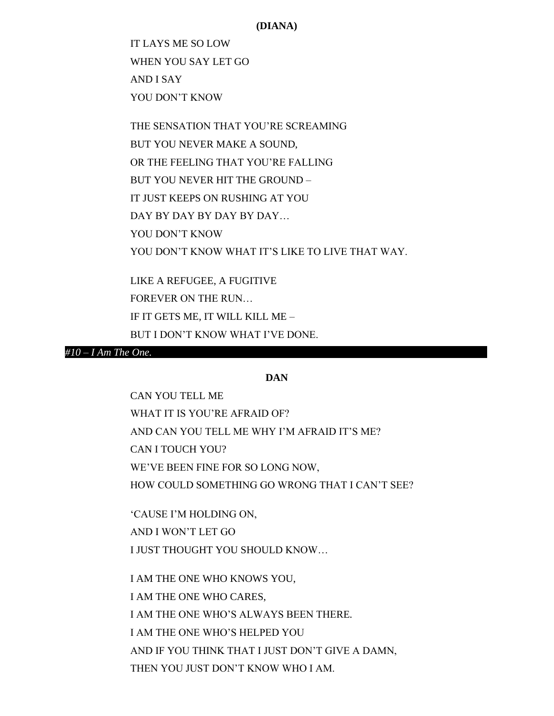## **(DIANA)**

IT LAYS ME SO LOW WHEN YOU SAY LET GO AND I SAY YOU DON'T KNOW

THE SENSATION THAT YOU'RE SCREAMING BUT YOU NEVER MAKE A SOUND, OR THE FEELING THAT YOU'RE FALLING BUT YOU NEVER HIT THE GROUND – IT JUST KEEPS ON RUSHING AT YOU DAY BY DAY BY DAY BY DAY… YOU DON'T KNOW YOU DON'T KNOW WHAT IT'S LIKE TO LIVE THAT WAY.

LIKE A REFUGEE, A FUGITIVE FOREVER ON THE RUN… IF IT GETS ME, IT WILL KILL ME – BUT I DON'T KNOW WHAT I'VE DONE.

*#10 – I Am The One. .*

#### **DAN**

CAN YOU TELL ME WHAT IT IS YOU'RE AFRAID OF? AND CAN YOU TELL ME WHY I'M AFRAID IT'S ME? CAN I TOUCH YOU? WE'VE BEEN FINE FOR SO LONG NOW, HOW COULD SOMETHING GO WRONG THAT I CAN'T SEE?

'CAUSE I'M HOLDING ON, AND I WON'T LET GO I JUST THOUGHT YOU SHOULD KNOW…

I AM THE ONE WHO KNOWS YOU, I AM THE ONE WHO CARES, I AM THE ONE WHO'S ALWAYS BEEN THERE. I AM THE ONE WHO'S HELPED YOU AND IF YOU THINK THAT I JUST DON'T GIVE A DAMN, THEN YOU JUST DON'T KNOW WHO I AM.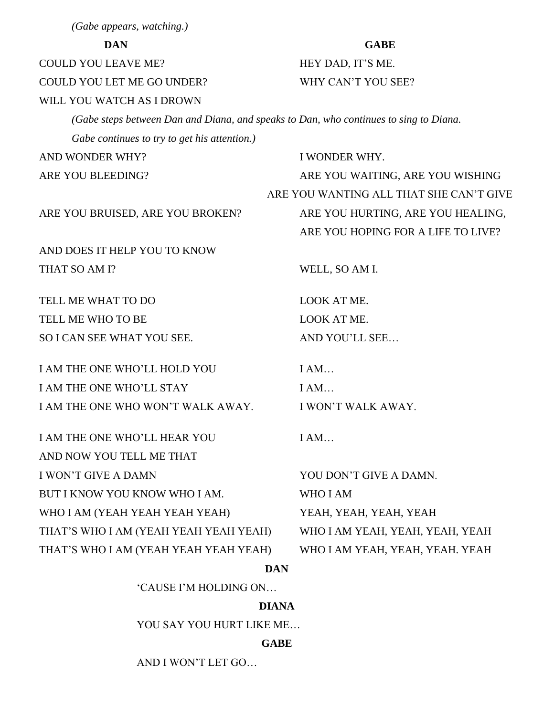| (Gabe appears, watching.)                                                             |                                    |  |
|---------------------------------------------------------------------------------------|------------------------------------|--|
| <b>DAN</b>                                                                            | <b>GABE</b>                        |  |
| <b>COULD YOU LEAVE ME?</b>                                                            | HEY DAD, IT'S ME.                  |  |
| <b>COULD YOU LET ME GO UNDER?</b>                                                     | WHY CAN'T YOU SEE?                 |  |
| WILL YOU WATCH AS I DROWN                                                             |                                    |  |
| (Gabe steps between Dan and Diana, and speaks to Dan, who continues to sing to Diana. |                                    |  |
| Gabe continues to try to get his attention.)                                          |                                    |  |
| AND WONDER WHY?                                                                       | I WONDER WHY.                      |  |
| ARE YOU BLEEDING?                                                                     | ARE YOU WAITING, ARE YOU WISHING   |  |
| ARE YOU WANTING ALL THAT SHE CAN'T GIVE                                               |                                    |  |
| ARE YOU BRUISED, ARE YOU BROKEN?                                                      | ARE YOU HURTING, ARE YOU HEALING,  |  |
|                                                                                       | ARE YOU HOPING FOR A LIFE TO LIVE? |  |
| AND DOES IT HELP YOU TO KNOW                                                          |                                    |  |
| THAT SO AM I?                                                                         | WELL, SO AM I.                     |  |
|                                                                                       |                                    |  |
| TELL ME WHAT TO DO                                                                    | <b>LOOK AT ME.</b>                 |  |
| TELL ME WHO TO BE                                                                     | <b>LOOK AT ME.</b>                 |  |
| SO I CAN SEE WHAT YOU SEE.                                                            | AND YOU'LL SEE                     |  |
| I AM THE ONE WHO'LL HOLD YOU                                                          | IAM                                |  |
| I AM THE ONE WHO'LL STAY                                                              | IAM                                |  |
| I AM THE ONE WHO WON'T WALK AWAY.                                                     | I WON'T WALK AWAY.                 |  |
| I AM THE ONE WHO'LL HEAR YOU                                                          | IAM                                |  |
| AND NOW YOU TELL ME THAT                                                              |                                    |  |
| <b>I WON'T GIVE A DAMN</b>                                                            | YOU DON'T GIVE A DAMN.             |  |
| BUT I KNOW YOU KNOW WHO I AM.                                                         | <b>WHO I AM</b>                    |  |
| WHO I AM (YEAH YEAH YEAH YEAH)                                                        | YEAH, YEAH, YEAH, YEAH             |  |
| THAT'S WHO I AM (YEAH YEAH YEAH YEAH)                                                 | WHO I AM YEAH, YEAH, YEAH, YEAH    |  |
| THAT'S WHO I AM (YEAH YEAH YEAH YEAH)                                                 | WHO I AM YEAH, YEAH, YEAH. YEAH    |  |
| <b>DAN</b>                                                                            |                                    |  |
| 'CAUSE I'M HOLDING ON                                                                 |                                    |  |
| <b>DIANA</b>                                                                          |                                    |  |
| YOU SAY YOU HURT LIKE ME                                                              |                                    |  |

# **GABE**

AND I WON'T LET GO…